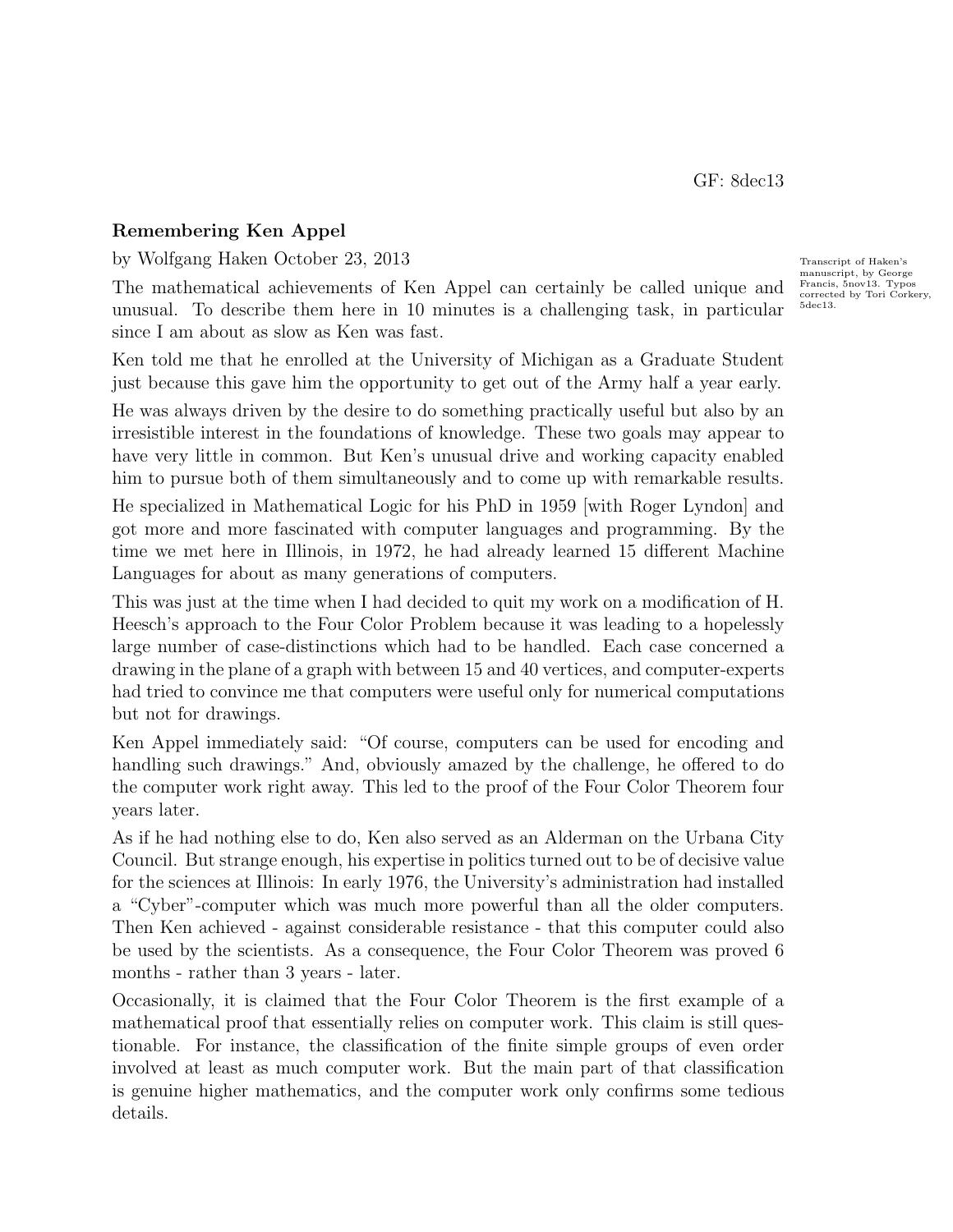GF: 8dec13

## Remembering Ken Appel

by Wolfgang Haken October 23, 2013 Transcript of Haken's

The mathematical achievements of Ken Appel can certainly be called unique and unusual. To describe them here in 10 minutes is a challenging task, in particular since I am about as slow as Ken was fast.

Ken told me that he enrolled at the University of Michigan as a Graduate Student just because this gave him the opportunity to get out of the Army half a year early.

He was always driven by the desire to do something practically useful but also by an irresistible interest in the foundations of knowledge. These two goals may appear to have very little in common. But Ken's unusual drive and working capacity enabled him to pursue both of them simultaneously and to come up with remarkable results.

He specialized in Mathematical Logic for his PhD in 1959 [with Roger Lyndon] and got more and more fascinated with computer languages and programming. By the time we met here in Illinois, in 1972, he had already learned 15 different Machine Languages for about as many generations of computers.

This was just at the time when I had decided to quit my work on a modification of H. Heesch's approach to the Four Color Problem because it was leading to a hopelessly large number of case-distinctions which had to be handled. Each case concerned a drawing in the plane of a graph with between 15 and 40 vertices, and computer-experts had tried to convince me that computers were useful only for numerical computations but not for drawings.

Ken Appel immediately said: "Of course, computers can be used for encoding and handling such drawings." And, obviously amazed by the challenge, he offered to do the computer work right away. This led to the proof of the Four Color Theorem four years later.

As if he had nothing else to do, Ken also served as an Alderman on the Urbana City Council. But strange enough, his expertise in politics turned out to be of decisive value for the sciences at Illinois: In early 1976, the University's administration had installed a "Cyber"-computer which was much more powerful than all the older computers. Then Ken achieved - against considerable resistance - that this computer could also be used by the scientists. As a consequence, the Four Color Theorem was proved 6 months - rather than 3 years - later.

Occasionally, it is claimed that the Four Color Theorem is the first example of a mathematical proof that essentially relies on computer work. This claim is still questionable. For instance, the classification of the finite simple groups of even order involved at least as much computer work. But the main part of that classification is genuine higher mathematics, and the computer work only confirms some tedious details.

manuscript, by George Francis, 5nov13. Typos corrected by Tori Corkery 5dec13.